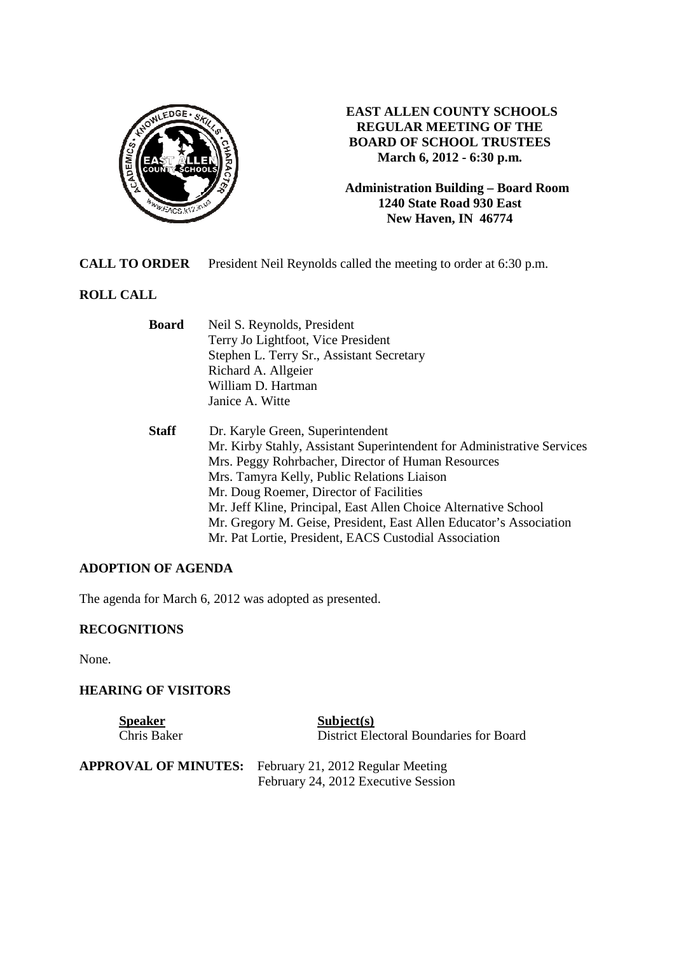

## **EAST ALLEN COUNTY SCHOOLS REGULAR MEETING OF THE BOARD OF SCHOOL TRUSTEES March 6, 2012 - 6:30 p.m.**

**Administration Building – Board Room 1240 State Road 930 East New Haven, IN 46774**

**CALL TO ORDER** President Neil Reynolds called the meeting to order at 6:30 p.m.

# **ROLL CALL**

| <b>Board</b> | Neil S. Reynolds, President                                            |
|--------------|------------------------------------------------------------------------|
|              | Terry Jo Lightfoot, Vice President                                     |
|              | Stephen L. Terry Sr., Assistant Secretary                              |
|              | Richard A. Allgeier                                                    |
|              | William D. Hartman                                                     |
|              | Janice A. Witte                                                        |
| <b>Staff</b> | Dr. Karyle Green, Superintendent                                       |
|              | Mr. Kirby Stahly, Assistant Superintendent for Administrative Services |
|              | Mrs. Peggy Rohrbacher, Director of Human Resources                     |
|              | Mrs. Tamyra Kelly, Public Relations Liaison                            |
|              | Mr. Doug Roemer, Director of Facilities                                |
|              | Mr. Jeff Kline, Principal, East Allen Choice Alternative School        |
|              | Mr. Gregory M. Geise, President, East Allen Educator's Association     |
|              | Mr. Pat Lortie, President, EACS Custodial Association                  |

# **ADOPTION OF AGENDA**

The agenda for March 6, 2012 was adopted as presented.

# **RECOGNITIONS**

None.

## **HEARING OF VISITORS**

| <b>Speaker</b>              | Subject(s)                                                               |
|-----------------------------|--------------------------------------------------------------------------|
| Chris Baker                 | District Electoral Boundaries for Board                                  |
| <b>APPROVAL OF MINUTES:</b> | February 21, 2012 Regular Meeting<br>February 24, 2012 Executive Session |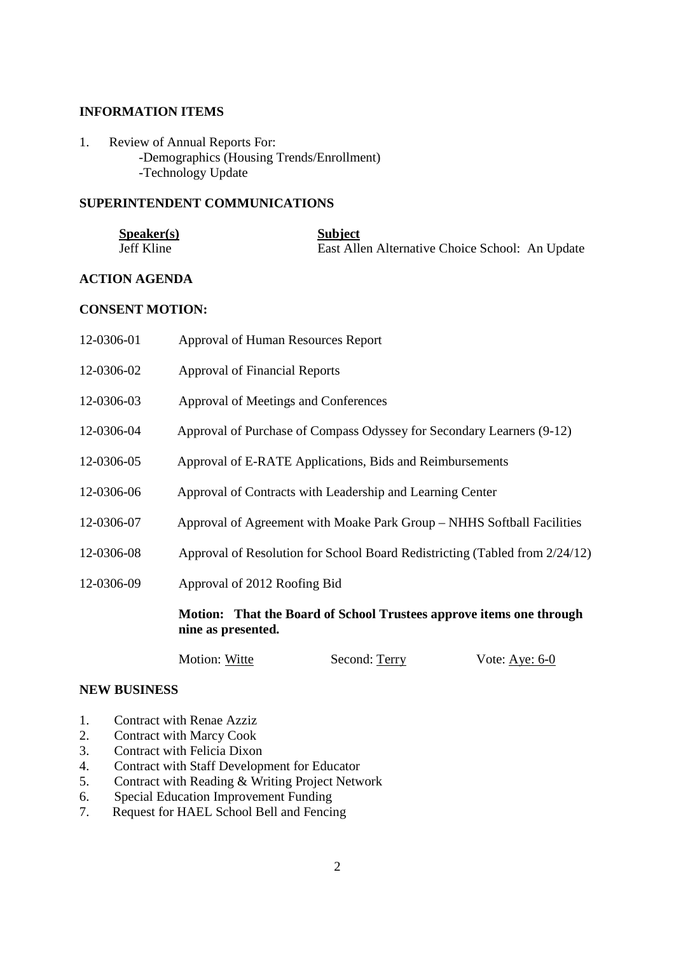#### **INFORMATION ITEMS**

1. Review of Annual Reports For: -Demographics (Housing Trends/Enrollment) -Technology Update

#### **SUPERINTENDENT COMMUNICATIONS**

| S <sub>p</sub> e <sub>aker(s)</sub> | <b>Subject</b>                                  |
|-------------------------------------|-------------------------------------------------|
| Jeff Kline                          | East Allen Alternative Choice School: An Update |

## **ACTION AGENDA**

#### **CONSENT MOTION:**

|            | Motion: That the Board of School Trustees approve items one through<br>nine as presented. |
|------------|-------------------------------------------------------------------------------------------|
| 12-0306-09 | Approval of 2012 Roofing Bid                                                              |
| 12-0306-08 | Approval of Resolution for School Board Redistricting (Tabled from 2/24/12)               |
| 12-0306-07 | Approval of Agreement with Moake Park Group – NHHS Softball Facilities                    |
| 12-0306-06 | Approval of Contracts with Leadership and Learning Center                                 |
| 12-0306-05 | Approval of E-RATE Applications, Bids and Reimbursements                                  |
| 12-0306-04 | Approval of Purchase of Compass Odyssey for Secondary Learners (9-12)                     |
| 12-0306-03 | Approval of Meetings and Conferences                                                      |
| 12-0306-02 | <b>Approval of Financial Reports</b>                                                      |
| 12-0306-01 | Approval of Human Resources Report                                                        |

# Motion: Witte Second: Terry Vote: Aye: 6-0

#### **NEW BUSINESS**

- 1. Contract with Renae Azziz
- 2. Contract with Marcy Cook
- 3. Contract with Felicia Dixon
- 4. Contract with Staff Development for Educator
- 5. Contract with Reading & Writing Project Network
- 6. Special Education Improvement Funding
- 7. Request for HAEL School Bell and Fencing